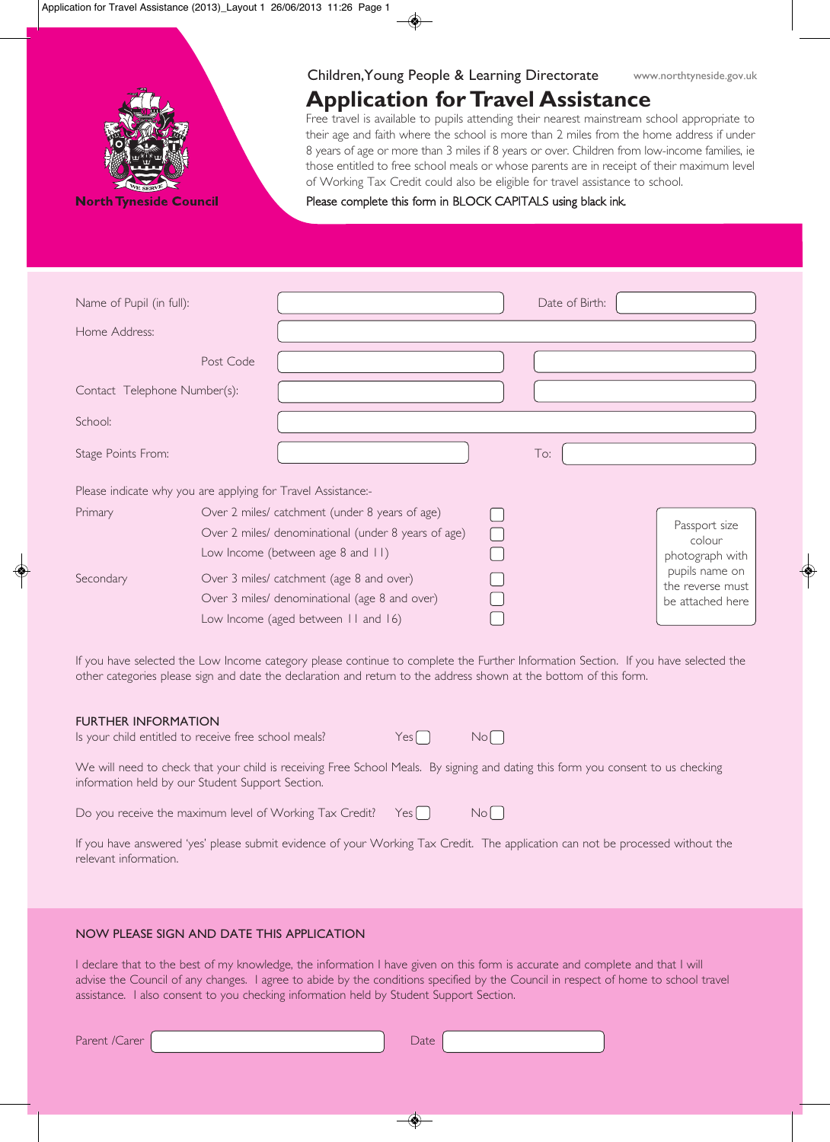

**North Tyneside Council** 

### Children,Young People & Learning Directorate

# **Application for Travel Assistance**

Free travel is available to pupils attending their nearest mainstream school appropriate to their age and faith where the school is more than 2 miles from the home address if under 8 years of age or more than 3 miles if 8 years or over. Children from low-income families, ie those entitled to free school meals or whose parents are in receipt of their maximum level of Working Tax Credit could also be eligible for travel assistance to school.

Please complete this form in BLOCK CAPITALS using black ink.

| Name of Pupil (in full):                                     |           |                                                     | Date of Birth: |                                      |
|--------------------------------------------------------------|-----------|-----------------------------------------------------|----------------|--------------------------------------|
| Home Address:                                                |           |                                                     |                |                                      |
|                                                              | Post Code |                                                     |                |                                      |
| Contact Telephone Number(s):                                 |           |                                                     |                |                                      |
| School:                                                      |           |                                                     |                |                                      |
| Stage Points From:                                           |           |                                                     | To:            |                                      |
| Please indicate why you are applying for Travel Assistance:- |           |                                                     |                |                                      |
| Primary                                                      |           | Over 2 miles/ catchment (under 8 years of age)      |                |                                      |
|                                                              |           | Over 2 miles/ denominational (under 8 years of age) |                | Passport size                        |
|                                                              |           | Low Income (between age 8 and 11)                   |                | colour<br>photograph with            |
| Secondary                                                    |           | Over 3 miles/ catchment (age 8 and over)            |                | pupils name on                       |
|                                                              |           | Over 3 miles/ denominational (age 8 and over)       |                | the reverse must<br>be attached here |
|                                                              |           | Low Income (aged between II and 16)                 |                |                                      |

If you have selected the Low Income category please continue to complete the Further Information Section. If you have selected the other categories please sign and date the declaration and return to the address shown at the bottom of this form.

#### FURTHER INFORMATION

| Is your child entitled to receive free school meals? |  |
|------------------------------------------------------|--|
|------------------------------------------------------|--|

 $Yes \bigcap$  No $\bigcap$ 

We will need to check that your child is receiving Free School Meals. By signing and dating this form you consent to us checking information held by our Student Support Section.

Do you receive the maximum level of Working Tax Credit? Yes  $\bigcap$  No $\bigcap$ 

If you have answered 'yes' please submit evidence of your Working Tax Credit. The application can not be processed without the relevant information.

#### NOW PLEASE SIGN AND DATE THIS APPLICATION

I declare that to the best of my knowledge, the information I have given on this form is accurate and complete and that I will advise the Council of any changes. I agree to abide by the conditions specified by the Council in respect of home to school travel assistance. I also consent to you checking information held by Student Support Section.